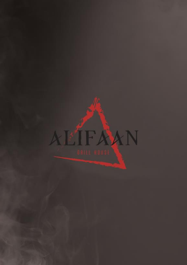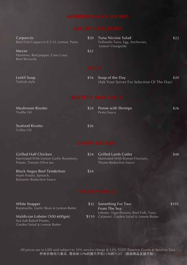| Carpaccio<br>Reef Fish Carpaccio E.V.O, Lemon, Pesto     | \$20        | Tuna Nicoise Salad<br>Yellowfin Tuna, Egg, Anchovies,<br>Lemon Vinaigrette | \$22 |  |  |
|----------------------------------------------------------|-------------|----------------------------------------------------------------------------|------|--|--|
| Mezze<br>Hummus, Red pepper, Cous Cous,<br>Beef Bresaola | \$22        |                                                                            |      |  |  |
|                                                          | <b>SOUP</b> |                                                                            |      |  |  |
| Lentil Soup<br>Turkish style                             | \$16        | Soup of the Day<br>(Ask Your Server For Selection Of The Day)              | \$20 |  |  |
| <b>RISOTTO AND PASTA</b>                                 |             |                                                                            |      |  |  |
| <b>Mushroom Risotto</b><br>Truffle Oil                   | \$24        | Penne with Shrimps<br>Pesto Sauce                                          | \$26 |  |  |
| Seafood Risotto                                          | \$26        |                                                                            |      |  |  |

| Grilled Half Chicken<br>Marinated With Lemon Garlic Rosemary,<br>Potato, Tomato Olive Jus | \$34 | <b>Grilled Lamb Cutlet</b><br>Marinated With Roman Flavours,<br><b>Thyme Reduction Sauce</b> | \$48 |
|-------------------------------------------------------------------------------------------|------|----------------------------------------------------------------------------------------------|------|
| <b>Black Angus Beef Tenderloin</b>                                                        | \$54 |                                                                                              |      |

Mash Potato, Spinach, Balsamic Reduction Sauce

Coffee Oil

Garden Salad & Lemon Butter

White Snapper Ratatouille, Garlic Bean & Lemon Butter Maldivian Lobster (500-600gm) Sea Salt Baked Potato, \$32 Something For Two \$195 From The Sea Lobster, Tiger Prawns, Reef Fish, Tuna, \$110 Calamari, Garden Salad & Lemon Butter

All prices are in USD and subject to 10% service charge & 12% TGST (Tourism Goods & Services Tax). 所有价格均为美元,需加收10%的服务费和12%的TGST(旅游商品及服务税)。